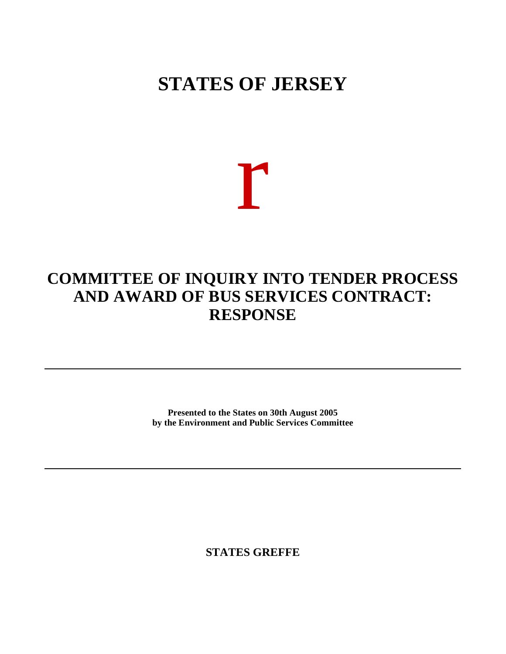## **STATES OF JERSEY**

# r

### **COMMITTEE OF INQUIRY INTO TENDER PROCESS AND AWARD OF BUS SERVICES CONTRACT: RESPONSE**

**Presented to the States on 30th August 2005 by the Environment and Public Services Committee**

**STATES GREFFE**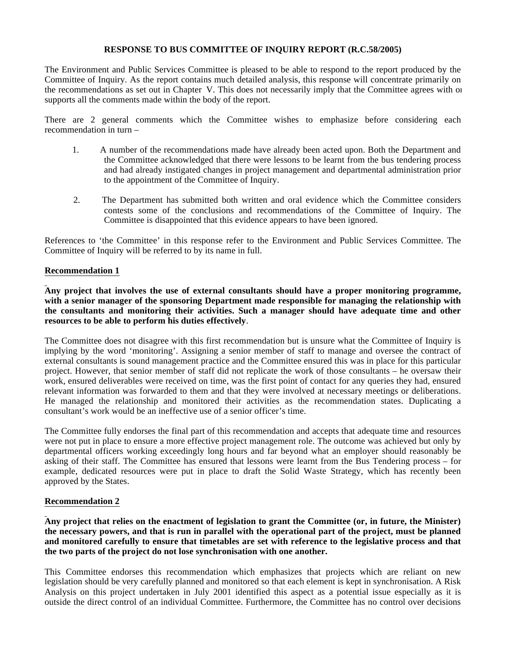#### **RESPONSE TO BUS COMMITTEE OF INQUIRY REPORT (R.C.58/2005)**

The Environment and Public Services Committee is pleased to be able to respond to the report produced by the Committee of Inquiry. As the report contains much detailed analysis, this response will concentrate primarily on the recommendations as set out in Chapter V. This does not necessarily imply that the Committee agrees with or supports all the comments made within the body of the report.

There are 2 general comments which the Committee wishes to emphasize before considering each recommendation in turn –

- 1. A number of the recommendations made have already been acted upon. Both the Department and the Committee acknowledged that there were lessons to be learnt from the bus tendering process and had already instigated changes in project management and departmental administration prior to the appointment of the Committee of Inquiry.
- 2. The Department has submitted both written and oral evidence which the Committee considers contests some of the conclusions and recommendations of the Committee of Inquiry. The Committee is disappointed that this evidence appears to have been ignored.

References to 'the Committee' in this response refer to the Environment and Public Services Committee. The Committee of Inquiry will be referred to by its name in full.

#### **Recommendation 1**

**Any project that involves the use of external consultants should have a proper monitoring programme, with a senior manager of the sponsoring Department made responsible for managing the relationship with the consultants and monitoring their activities. Such a manager should have adequate time and other resources to be able to perform his duties effectively**.

The Committee does not disagree with this first recommendation but is unsure what the Committee of Inquiry is implying by the word 'monitoring'. Assigning a senior member of staff to manage and oversee the contract of external consultants is sound management practice and the Committee ensured this was in place for this particular project. However, that senior member of staff did not replicate the work of those consultants – he oversaw their work, ensured deliverables were received on time, was the first point of contact for any queries they had, ensured relevant information was forwarded to them and that they were involved at necessary meetings or deliberations. He managed the relationship and monitored their activities as the recommendation states. Duplicating a consultant's work would be an ineffective use of a senior officer's time.

The Committee fully endorses the final part of this recommendation and accepts that adequate time and resources were not put in place to ensure a more effective project management role. The outcome was achieved but only by departmental officers working exceedingly long hours and far beyond what an employer should reasonably be asking of their staff. The Committee has ensured that lessons were learnt from the Bus Tendering process – for example, dedicated resources were put in place to draft the Solid Waste Strategy, which has recently been approved by the States.

#### **Recommendation 2**

**Any project that relies on the enactment of legislation to grant the Committee (or, in future, the Minister) the necessary powers, and that is run in parallel with the operational part of the project, must be planned and monitored carefully to ensure that timetables are set with reference to the legislative process and that the two parts of the project do not lose synchronisation with one another.**

This Committee endorses this recommendation which emphasizes that projects which are reliant on new legislation should be very carefully planned and monitored so that each element is kept in synchronisation. A Risk Analysis on this project undertaken in July 2001 identified this aspect as a potential issue especially as it is outside the direct control of an individual Committee. Furthermore, the Committee has no control over decisions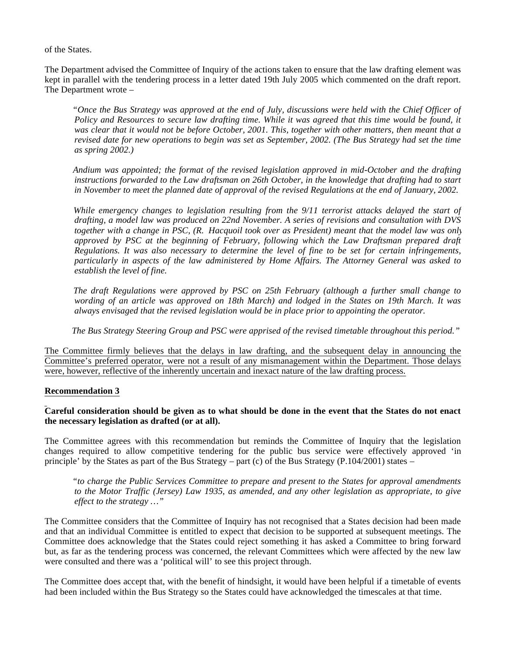of the States.

The Department advised the Committee of Inquiry of the actions taken to ensure that the law drafting element was kept in parallel with the tendering process in a letter dated 19th July 2005 which commented on the draft report. The Department wrote –

 *"Once the Bus Strategy was approved at the end of July, discussions were held with the Chief Officer of Policy and Resources to secure law drafting time. While it was agreed that this time would be found, it was clear that it would not be before October, 2001. This, together with other matters, then meant that a revised date for new operations to begin was set as September, 2002. (The Bus Strategy had set the time as spring 2002.)*

 *Andium was appointed; the format of the revised legislation approved in mid-October and the drafting instructions forwarded to the Law draftsman on 26th October, in the knowledge that drafting had to start in November to meet the planned date of approval of the revised Regulations at the end of January, 2002.*

 *While emergency changes to legislation resulting from the 9/11 terrorist attacks delayed the start of drafting, a model law was produced on 22nd November. A series of revisions and consultation with DVS together with a change in PSC, (R. Hacquoil took over as President) meant that the model law was only approved by PSC at the beginning of February, following which the Law Draftsman prepared draft Regulations. It was also necessary to determine the level of fine to be set for certain infringements, particularly in aspects of the law administered by Home Affairs. The Attorney General was asked to establish the level of fine.*

 *The draft Regulations were approved by PSC on 25th February (although a further small change to wording of an article was approved on 18th March) and lodged in the States on 19th March. It was always envisaged that the revised legislation would be in place prior to appointing the operator.*

 *The Bus Strategy Steering Group and PSC were apprised of the revised timetable throughout this period."*

The Committee firmly believes that the delays in law drafting, and the subsequent delay in announcing the Committee's preferred operator, were not a result of any mismanagement within the Department. Those delays were, however, reflective of the inherently uncertain and inexact nature of the law drafting process.

#### **Recommendation 3**

#### **Careful consideration should be given as to what should be done in the event that the States do not enact the necessary legislation as drafted (or at all).**

The Committee agrees with this recommendation but reminds the Committee of Inquiry that the legislation changes required to allow competitive tendering for the public bus service were effectively approved 'in principle' by the States as part of the Bus Strategy – part (c) of the Bus Strategy (P.104/2001) states –

 *"to charge the Public Services Committee to prepare and present to the States for approval amendments to the Motor Traffic (Jersey) Law 1935, as amended, and any other legislation as appropriate, to give effect to the strategy …"*

The Committee considers that the Committee of Inquiry has not recognised that a States decision had been made and that an individual Committee is entitled to expect that decision to be supported at subsequent meetings. The Committee does acknowledge that the States could reject something it has asked a Committee to bring forward but, as far as the tendering process was concerned, the relevant Committees which were affected by the new law were consulted and there was a 'political will' to see this project through.

The Committee does accept that, with the benefit of hindsight, it would have been helpful if a timetable of events had been included within the Bus Strategy so the States could have acknowledged the timescales at that time.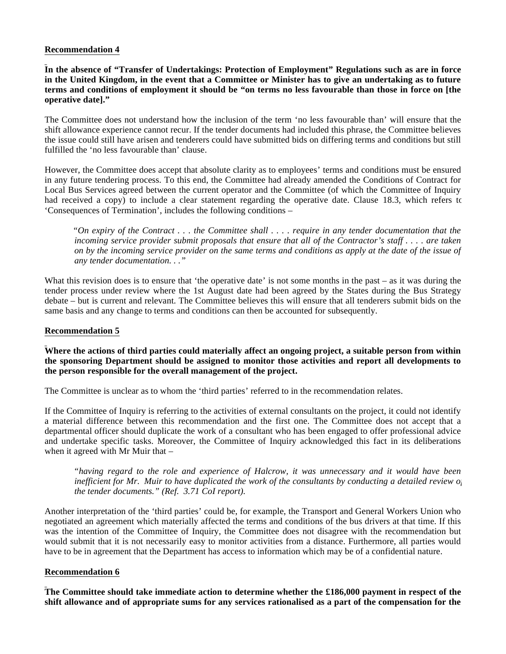#### **Recommendation 4**

**In the absence of "Transfer of Undertakings: Protection of Employment" Regulations such as are in force in the United Kingdom, in the event that a Committee or Minister has to give an undertaking as to future terms and conditions of employment it should be "on terms no less favourable than those in force on [the operative date]."**

The Committee does not understand how the inclusion of the term 'no less favourable than' will ensure that the shift allowance experience cannot recur. If the tender documents had included this phrase, the Committee believes the issue could still have arisen and tenderers could have submitted bids on differing terms and conditions but still fulfilled the 'no less favourable than' clause.

However, the Committee does accept that absolute clarity as to employees' terms and conditions must be ensured in any future tendering process. To this end, the Committee had already amended the Conditions of Contract for Local Bus Services agreed between the current operator and the Committee (of which the Committee of Inquiry had received a copy) to include a clear statement regarding the operative date. Clause 18.3, which refers to 'Consequences of Termination', includes the following conditions –

 *"On expiry of the Contract . . . the Committee shall . . . . require in any tender documentation that the incoming service provider submit proposals that ensure that all of the Contractor's staff . . . . are taken on by the incoming service provider on the same terms and conditions as apply at the date of the issue of any tender documentation. . ."*

What this revision does is to ensure that 'the operative date' is not some months in the past – as it was during the tender process under review where the 1st August date had been agreed by the States during the Bus Strategy debate – but is current and relevant. The Committee believes this will ensure that all tenderers submit bids on the same basis and any change to terms and conditions can then be accounted for subsequently.

#### **Recommendation 5**

#### **Where the actions of third parties could materially affect an ongoing project, a suitable person from within the sponsoring Department should be assigned to monitor those activities and report all developments to the person responsible for the overall management of the project.**

The Committee is unclear as to whom the 'third parties' referred to in the recommendation relates.

If the Committee of Inquiry is referring to the activities of external consultants on the project, it could not identify a material difference between this recommendation and the first one. The Committee does not accept that a departmental officer should duplicate the work of a consultant who has been engaged to offer professional advice and undertake specific tasks. Moreover, the Committee of Inquiry acknowledged this fact in its deliberations when it agreed with Mr Muir that –

 *"having regard to the role and experience of Halcrow, it was unnecessary and it would have been inefficient for Mr. Muir to have duplicated the work of the consultants by conducting a detailed review*  $o_i$ *the tender documents." (Ref. 3.71 CoI report).*

Another interpretation of the 'third parties' could be, for example, the Transport and General Workers Union who negotiated an agreement which materially affected the terms and conditions of the bus drivers at that time. If this was the intention of the Committee of Inquiry, the Committee does not disagree with the recommendation but would submit that it is not necessarily easy to monitor activities from a distance. Furthermore, all parties would have to be in agreement that the Department has access to information which may be of a confidential nature.

#### **Recommendation 6**

**The Committee should take immediate action to determine whether the £186,000 payment in respect of the shift allowance and of appropriate sums for any services rationalised as a part of the compensation for the**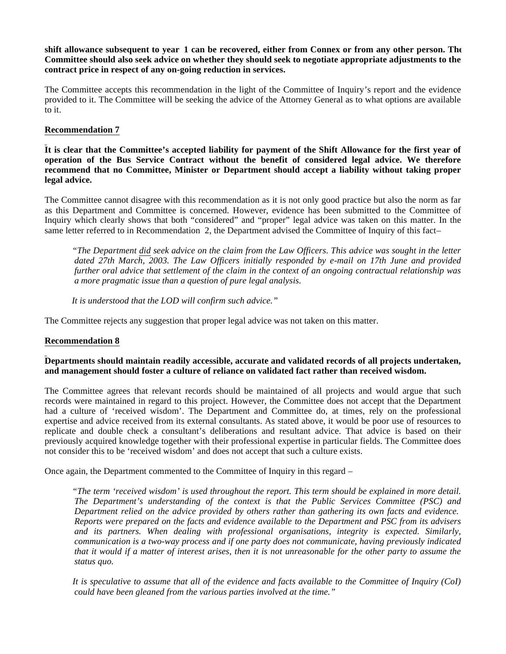**shift allowance subsequent to year 1 can be recovered, either from Connex or from any other person. The Committee should also seek advice on whether they should seek to negotiate appropriate adjustments to the contract price in respect of any on-going reduction in services.**

The Committee accepts this recommendation in the light of the Committee of Inquiry's report and the evidence provided to it. The Committee will be seeking the advice of the Attorney General as to what options are available to it.

#### **Recommendation 7**

**It is clear that the Committee's accepted liability for payment of the Shift Allowance for the first year of operation of the Bus Service Contract without the benefit of considered legal advice. We therefore recommend that no Committee, Minister or Department should accept a liability without taking proper legal advice.**

The Committee cannot disagree with this recommendation as it is not only good practice but also the norm as far as this Department and Committee is concerned. However, evidence has been submitted to the Committee of Inquiry which clearly shows that both "considered" and "proper" legal advice was taken on this matter. In the same letter referred to in Recommendation 2, the Department advised the Committee of Inquiry of this fact-

 *"The Department did seek advice on the claim from the Law Officers. This advice was sought in the letter dated 27th March, 2003. The Law Officers initially responded by e-mail on 17th June and provided further oral advice that settlement of the claim in the context of an ongoing contractual relationship was a more pragmatic issue than a question of pure legal analysis.*

 *It is understood that the LOD will confirm such advice."*

The Committee rejects any suggestion that proper legal advice was not taken on this matter.

#### **Recommendation 8**

#### **Departments should maintain readily accessible, accurate and validated records of all projects undertaken, and management should foster a culture of reliance on validated fact rather than received wisdom.**

The Committee agrees that relevant records should be maintained of all projects and would argue that such records were maintained in regard to this project. However, the Committee does not accept that the Department had a culture of 'received wisdom'. The Department and Committee do, at times, rely on the professional expertise and advice received from its external consultants. As stated above, it would be poor use of resources to replicate and double check a consultant's deliberations and resultant advice. That advice is based on their previously acquired knowledge together with their professional expertise in particular fields. The Committee does not consider this to be 'received wisdom' and does not accept that such a culture exists.

Once again, the Department commented to the Committee of Inquiry in this regard –

 *"The term 'received wisdom' is used throughout the report. This term should be explained in more detail. The Department's understanding of the context is that the Public Services Committee (PSC) and Department relied on the advice provided by others rather than gathering its own facts and evidence. Reports were prepared on the facts and evidence available to the Department and PSC from its advisers and its partners. When dealing with professional organisations, integrity is expected. Similarly, communication is a two-way process and if one party does not communicate, having previously indicated that it would if a matter of interest arises, then it is not unreasonable for the other party to assume the status quo.*

 *It is speculative to assume that all of the evidence and facts available to the Committee of Inquiry (CoI) could have been gleaned from the various parties involved at the time."*